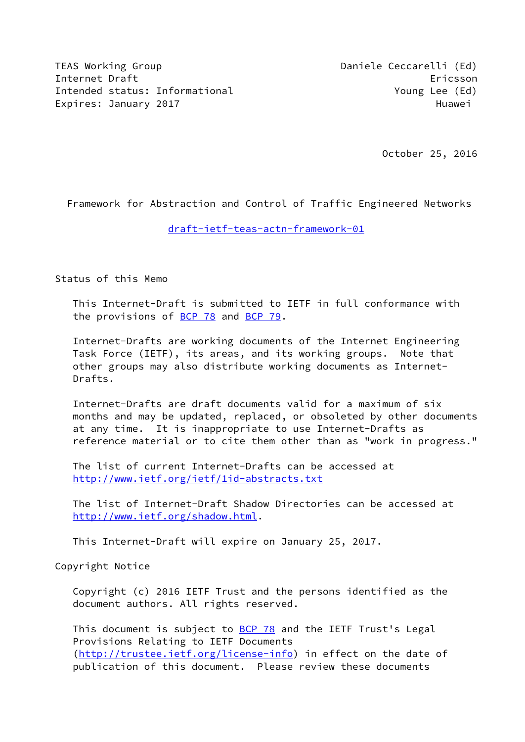TEAS Working Group **Daniele Ceccarelli** (Ed) Internet Draft Ericsson Ericsson Intended status: Informational Theorem Music Poung Lee (Ed) Expires: January 2017 **Huawei** 

October 25, 2016

Framework for Abstraction and Control of Traffic Engineered Networks

## [draft-ietf-teas-actn-framework-01](https://datatracker.ietf.org/doc/pdf/draft-ietf-teas-actn-framework-01)

Status of this Memo

 This Internet-Draft is submitted to IETF in full conformance with the provisions of [BCP 78](https://datatracker.ietf.org/doc/pdf/bcp78) and [BCP 79](https://datatracker.ietf.org/doc/pdf/bcp79).

 Internet-Drafts are working documents of the Internet Engineering Task Force (IETF), its areas, and its working groups. Note that other groups may also distribute working documents as Internet- Drafts.

 Internet-Drafts are draft documents valid for a maximum of six months and may be updated, replaced, or obsoleted by other documents at any time. It is inappropriate to use Internet-Drafts as reference material or to cite them other than as "work in progress."

 The list of current Internet-Drafts can be accessed at <http://www.ietf.org/ietf/1id-abstracts.txt>

 The list of Internet-Draft Shadow Directories can be accessed at <http://www.ietf.org/shadow.html>.

This Internet-Draft will expire on January 25, 2017.

Copyright Notice

 Copyright (c) 2016 IETF Trust and the persons identified as the document authors. All rights reserved.

This document is subject to **[BCP 78](https://datatracker.ietf.org/doc/pdf/bcp78)** and the IETF Trust's Legal Provisions Relating to IETF Documents [\(http://trustee.ietf.org/license-info](http://trustee.ietf.org/license-info)) in effect on the date of publication of this document. Please review these documents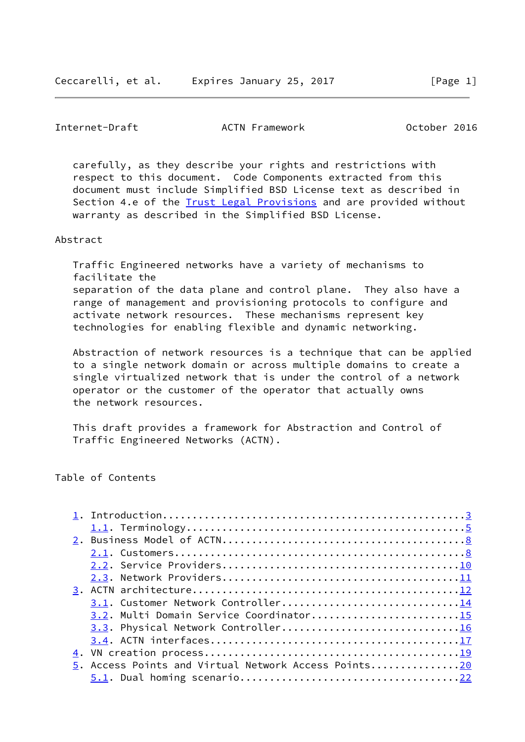Internet-Draft ACTN Framework October 2016

 carefully, as they describe your rights and restrictions with respect to this document. Code Components extracted from this document must include Simplified BSD License text as described in Section 4.e of the [Trust Legal Provisions](https://trustee.ietf.org/license-info) and are provided without warranty as described in the Simplified BSD License.

#### Abstract

 Traffic Engineered networks have a variety of mechanisms to facilitate the separation of the data plane and control plane. They also have a range of management and provisioning protocols to configure and activate network resources. These mechanisms represent key technologies for enabling flexible and dynamic networking.

 Abstraction of network resources is a technique that can be applied to a single network domain or across multiple domains to create a single virtualized network that is under the control of a network operator or the customer of the operator that actually owns the network resources.

 This draft provides a framework for Abstraction and Control of Traffic Engineered Networks (ACTN).

Table of Contents

| 3.2. Multi Domain Service Coordinator15              |  |
|------------------------------------------------------|--|
| 3.3. Physical Network Controller16                   |  |
|                                                      |  |
|                                                      |  |
| 5. Access Points and Virtual Network Access Points20 |  |
|                                                      |  |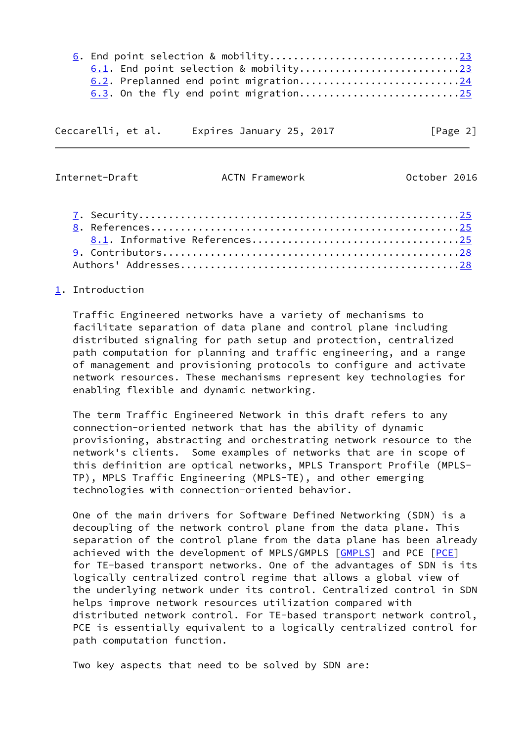| 6.2. Preplanned end point migration24 |  |
|---------------------------------------|--|
|                                       |  |

| Ceccarelli, et al. |  | Expires January 25, 2017 |  | [Page 2] |  |
|--------------------|--|--------------------------|--|----------|--|
|                    |  |                          |  |          |  |

<span id="page-2-1"></span>Internet-Draft ACTN Framework October 2016

## <span id="page-2-0"></span>[1](#page-2-0). Introduction

 Traffic Engineered networks have a variety of mechanisms to facilitate separation of data plane and control plane including distributed signaling for path setup and protection, centralized path computation for planning and traffic engineering, and a range of management and provisioning protocols to configure and activate network resources. These mechanisms represent key technologies for enabling flexible and dynamic networking.

 The term Traffic Engineered Network in this draft refers to any connection-oriented network that has the ability of dynamic provisioning, abstracting and orchestrating network resource to the network's clients. Some examples of networks that are in scope of this definition are optical networks, MPLS Transport Profile (MPLS- TP), MPLS Traffic Engineering (MPLS-TE), and other emerging technologies with connection-oriented behavior.

 One of the main drivers for Software Defined Networking (SDN) is a decoupling of the network control plane from the data plane. This separation of the control plane from the data plane has been already achieved with the development of MPLS/GMPLS [\[GMPLS](#page-27-0)] and PCE [\[PCE](#page-26-3)] for TE-based transport networks. One of the advantages of SDN is its logically centralized control regime that allows a global view of the underlying network under its control. Centralized control in SDN helps improve network resources utilization compared with distributed network control. For TE-based transport network control, PCE is essentially equivalent to a logically centralized control for path computation function.

Two key aspects that need to be solved by SDN are: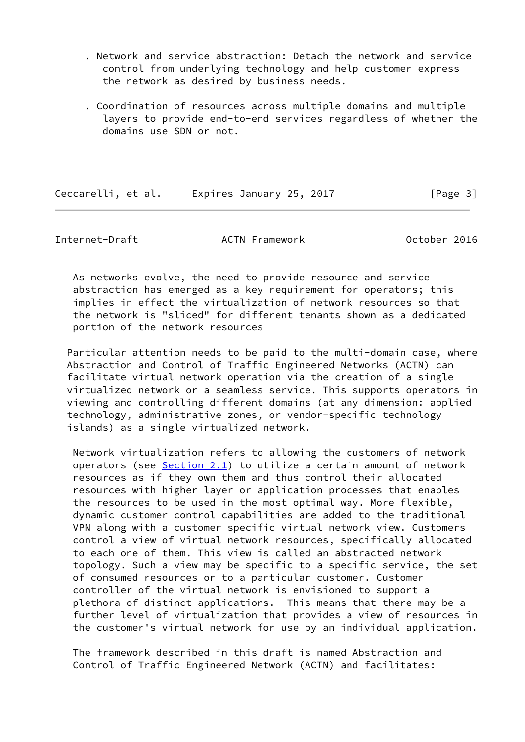- . Network and service abstraction: Detach the network and service control from underlying technology and help customer express the network as desired by business needs.
- . Coordination of resources across multiple domains and multiple layers to provide end-to-end services regardless of whether the domains use SDN or not.

Ceccarelli, et al. Expires January 25, 2017 [Page 3]

Internet-Draft ACTN Framework October 2016

 As networks evolve, the need to provide resource and service abstraction has emerged as a key requirement for operators; this implies in effect the virtualization of network resources so that the network is "sliced" for different tenants shown as a dedicated portion of the network resources

 Particular attention needs to be paid to the multi-domain case, where Abstraction and Control of Traffic Engineered Networks (ACTN) can facilitate virtual network operation via the creation of a single virtualized network or a seamless service. This supports operators in viewing and controlling different domains (at any dimension: applied technology, administrative zones, or vendor-specific technology islands) as a single virtualized network.

 Network virtualization refers to allowing the customers of network operators (see  $Section 2.1$ ) to utilize a certain amount of network resources as if they own them and thus control their allocated resources with higher layer or application processes that enables the resources to be used in the most optimal way. More flexible, dynamic customer control capabilities are added to the traditional VPN along with a customer specific virtual network view. Customers control a view of virtual network resources, specifically allocated to each one of them. This view is called an abstracted network topology. Such a view may be specific to a specific service, the set of consumed resources or to a particular customer. Customer controller of the virtual network is envisioned to support a plethora of distinct applications. This means that there may be a further level of virtualization that provides a view of resources in the customer's virtual network for use by an individual application.

 The framework described in this draft is named Abstraction and Control of Traffic Engineered Network (ACTN) and facilitates: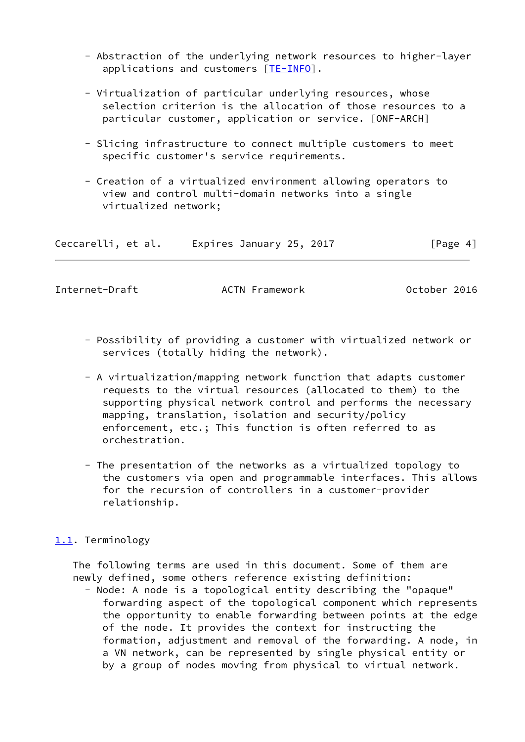- Abstraction of the underlying network resources to higher-layer applications and customers [\[TE-INFO](#page-27-1)].
- Virtualization of particular underlying resources, whose selection criterion is the allocation of those resources to a particular customer, application or service. [ONF-ARCH]
- Slicing infrastructure to connect multiple customers to meet specific customer's service requirements.
- Creation of a virtualized environment allowing operators to view and control multi-domain networks into a single virtualized network;

| Ceccarelli, et al. | Expires January 25, 2017 | [Page 4] |
|--------------------|--------------------------|----------|
|--------------------|--------------------------|----------|

<span id="page-4-1"></span>

Internet-Draft **ACTN Framework** October 2016

- Possibility of providing a customer with virtualized network or services (totally hiding the network).
- A virtualization/mapping network function that adapts customer requests to the virtual resources (allocated to them) to the supporting physical network control and performs the necessary mapping, translation, isolation and security/policy enforcement, etc.; This function is often referred to as orchestration.
- The presentation of the networks as a virtualized topology to the customers via open and programmable interfaces. This allows for the recursion of controllers in a customer-provider relationship.

# <span id="page-4-0"></span>[1.1](#page-4-0). Terminology

 The following terms are used in this document. Some of them are newly defined, some others reference existing definition:

 - Node: A node is a topological entity describing the "opaque" forwarding aspect of the topological component which represents the opportunity to enable forwarding between points at the edge of the node. It provides the context for instructing the formation, adjustment and removal of the forwarding. A node, in a VN network, can be represented by single physical entity or by a group of nodes moving from physical to virtual network.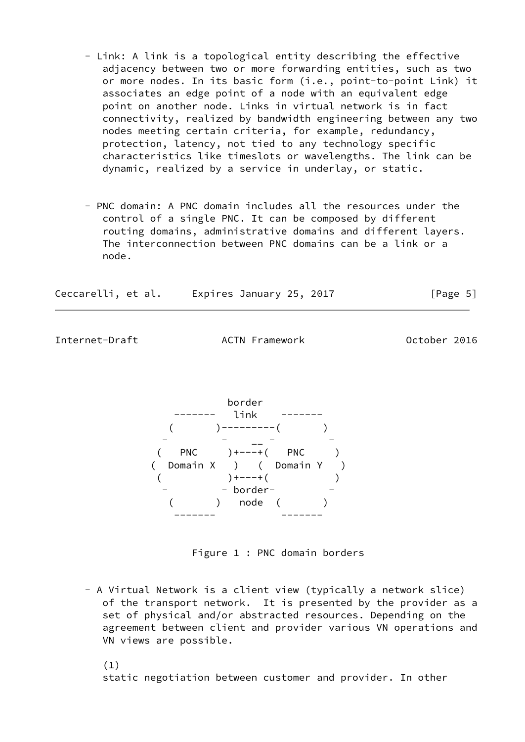- Link: A link is a topological entity describing the effective adjacency between two or more forwarding entities, such as two or more nodes. In its basic form (i.e., point-to-point Link) it associates an edge point of a node with an equivalent edge point on another node. Links in virtual network is in fact connectivity, realized by bandwidth engineering between any two nodes meeting certain criteria, for example, redundancy, protection, latency, not tied to any technology specific characteristics like timeslots or wavelengths. The link can be dynamic, realized by a service in underlay, or static.
- PNC domain: A PNC domain includes all the resources under the control of a single PNC. It can be composed by different routing domains, administrative domains and different layers. The interconnection between PNC domains can be a link or a node.

| Ceccarelli, et al. |  | Expires January 25, 2017 |  | [Page 5] |  |
|--------------------|--|--------------------------|--|----------|--|
|                    |  |                          |  |          |  |

Internet-Draft ACTN Framework October 2016



Figure 1 : PNC domain borders

 - A Virtual Network is a client view (typically a network slice) of the transport network. It is presented by the provider as a set of physical and/or abstracted resources. Depending on the agreement between client and provider various VN operations and VN views are possible.

(1)

static negotiation between customer and provider. In other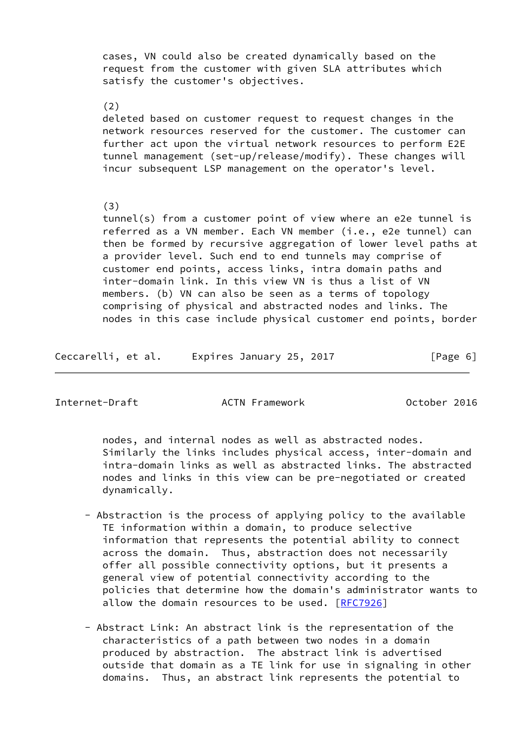cases, VN could also be created dynamically based on the request from the customer with given SLA attributes which satisfy the customer's objectives.

(2)

 deleted based on customer request to request changes in the network resources reserved for the customer. The customer can further act upon the virtual network resources to perform E2E tunnel management (set-up/release/modify). These changes will incur subsequent LSP management on the operator's level.

#### (3)

 tunnel(s) from a customer point of view where an e2e tunnel is referred as a VN member. Each VN member (i.e., e2e tunnel) can then be formed by recursive aggregation of lower level paths at a provider level. Such end to end tunnels may comprise of customer end points, access links, intra domain paths and inter-domain link. In this view VN is thus a list of VN members. (b) VN can also be seen as a terms of topology comprising of physical and abstracted nodes and links. The nodes in this case include physical customer end points, border

Ceccarelli, et al. Expires January 25, 2017 [Page 6]

Internet-Draft ACTN Framework October 2016

 nodes, and internal nodes as well as abstracted nodes. Similarly the links includes physical access, inter-domain and intra-domain links as well as abstracted links. The abstracted nodes and links in this view can be pre-negotiated or created dynamically.

- Abstraction is the process of applying policy to the available TE information within a domain, to produce selective information that represents the potential ability to connect across the domain. Thus, abstraction does not necessarily offer all possible connectivity options, but it presents a general view of potential connectivity according to the policies that determine how the domain's administrator wants to allow the domain resources to be used. [\[RFC7926](https://datatracker.ietf.org/doc/pdf/rfc7926)]
- Abstract Link: An abstract link is the representation of the characteristics of a path between two nodes in a domain produced by abstraction. The abstract link is advertised outside that domain as a TE link for use in signaling in other domains. Thus, an abstract link represents the potential to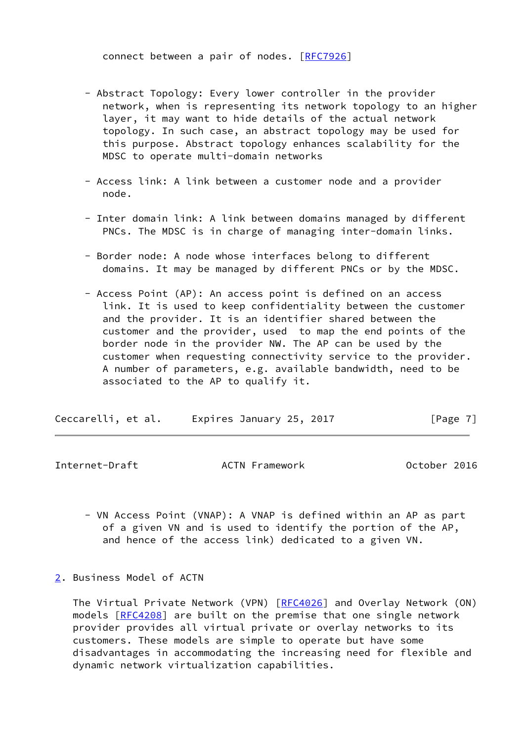connect between a pair of nodes. [[RFC7926](https://datatracker.ietf.org/doc/pdf/rfc7926)]

- Abstract Topology: Every lower controller in the provider network, when is representing its network topology to an higher layer, it may want to hide details of the actual network topology. In such case, an abstract topology may be used for this purpose. Abstract topology enhances scalability for the MDSC to operate multi-domain networks
- Access link: A link between a customer node and a provider node.
- Inter domain link: A link between domains managed by different PNCs. The MDSC is in charge of managing inter-domain links.
- Border node: A node whose interfaces belong to different domains. It may be managed by different PNCs or by the MDSC.
- Access Point (AP): An access point is defined on an access link. It is used to keep confidentiality between the customer and the provider. It is an identifier shared between the customer and the provider, used to map the end points of the border node in the provider NW. The AP can be used by the customer when requesting connectivity service to the provider. A number of parameters, e.g. available bandwidth, need to be associated to the AP to qualify it.

| Ceccarelli, et al. | Expires January 25, 2017 | [Page 7] |
|--------------------|--------------------------|----------|
|--------------------|--------------------------|----------|

<span id="page-7-1"></span>Internet-Draft ACTN Framework October 2016

- VN Access Point (VNAP): A VNAP is defined within an AP as part of a given VN and is used to identify the portion of the AP, and hence of the access link) dedicated to a given VN.
- <span id="page-7-0"></span>[2](#page-7-0). Business Model of ACTN

 The Virtual Private Network (VPN) [[RFC4026](https://datatracker.ietf.org/doc/pdf/rfc4026)] and Overlay Network (ON) models [\[RFC4208](https://datatracker.ietf.org/doc/pdf/rfc4208)] are built on the premise that one single network provider provides all virtual private or overlay networks to its customers. These models are simple to operate but have some disadvantages in accommodating the increasing need for flexible and dynamic network virtualization capabilities.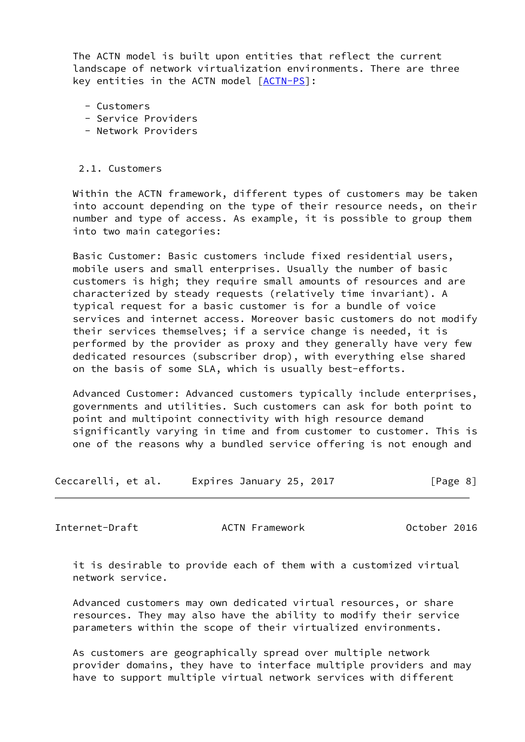The ACTN model is built upon entities that reflect the current landscape of network virtualization environments. There are three key entities in the ACTN model [\[ACTN-PS](#page-27-2)]:

- Customers
- Service Providers
- Network Providers

#### 2.1. Customers

 Within the ACTN framework, different types of customers may be taken into account depending on the type of their resource needs, on their number and type of access. As example, it is possible to group them into two main categories:

 Basic Customer: Basic customers include fixed residential users, mobile users and small enterprises. Usually the number of basic customers is high; they require small amounts of resources and are characterized by steady requests (relatively time invariant). A typical request for a basic customer is for a bundle of voice services and internet access. Moreover basic customers do not modify their services themselves; if a service change is needed, it is performed by the provider as proxy and they generally have very few dedicated resources (subscriber drop), with everything else shared on the basis of some SLA, which is usually best-efforts.

 Advanced Customer: Advanced customers typically include enterprises, governments and utilities. Such customers can ask for both point to point and multipoint connectivity with high resource demand significantly varying in time and from customer to customer. This is one of the reasons why a bundled service offering is not enough and

Ceccarelli, et al. Expires January 25, 2017 [Page 8]

Internet-Draft ACTN Framework October 2016

 it is desirable to provide each of them with a customized virtual network service.

 Advanced customers may own dedicated virtual resources, or share resources. They may also have the ability to modify their service parameters within the scope of their virtualized environments.

 As customers are geographically spread over multiple network provider domains, they have to interface multiple providers and may have to support multiple virtual network services with different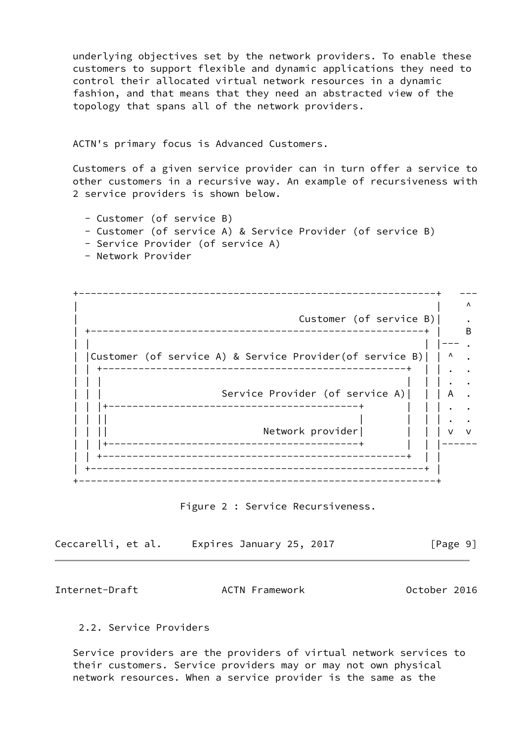underlying objectives set by the network providers. To enable these customers to support flexible and dynamic applications they need to control their allocated virtual network resources in a dynamic fashion, and that means that they need an abstracted view of the topology that spans all of the network providers.

ACTN's primary focus is Advanced Customers.

 Customers of a given service provider can in turn offer a service to other customers in a recursive way. An example of recursiveness with 2 service providers is shown below.

- Customer (of service B)
- Customer (of service A) & Service Provider (of service B)
- Service Provider (of service A)
- Network Provider

 +------------------------------------------------------------+ ---  $\blacksquare$ Customer (of service B)| | +--------------------------------------------------------+ | B | | | |--- . | |Customer (of service A) & Service Provider(of service B)| | ^ . | | +---------------------------------------------------+ | | . . | | | | | | . . Service Provider (of service A)| || A  $\,$  . | | |+------------------------------------------+ | | | . . | | || | | | | . . | | || Network provider| | | | v v | | |+------------------------------------------+ | | |------ | | +---------------------------------------------------+ | | | +--------------------------------------------------------+ | +------------------------------------------------------------+

Figure 2 : Service Recursiveness.

| Ceccarelli, et al. | Expires January 25, 2017 | [Page 9] |
|--------------------|--------------------------|----------|
|--------------------|--------------------------|----------|

<span id="page-9-0"></span>Internet-Draft ACTN Framework October 2016

### 2.2. Service Providers

 Service providers are the providers of virtual network services to their customers. Service providers may or may not own physical network resources. When a service provider is the same as the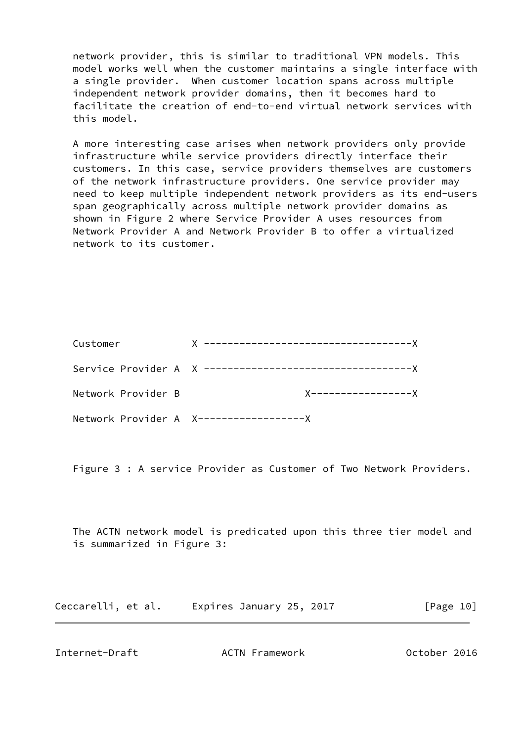network provider, this is similar to traditional VPN models. This model works well when the customer maintains a single interface with a single provider. When customer location spans across multiple independent network provider domains, then it becomes hard to facilitate the creation of end-to-end virtual network services with this model.

 A more interesting case arises when network providers only provide infrastructure while service providers directly interface their customers. In this case, service providers themselves are customers of the network infrastructure providers. One service provider may need to keep multiple independent network providers as its end-users span geographically across multiple network provider domains as shown in Figure 2 where Service Provider A uses resources from Network Provider A and Network Provider B to offer a virtualized network to its customer.

| Customer           |                    |
|--------------------|--------------------|
|                    |                    |
| Network Provider B | X----------------X |
|                    |                    |

Figure 3 : A service Provider as Customer of Two Network Providers.

 The ACTN network model is predicated upon this three tier model and is summarized in Figure 3:

| Ceccarelli, et al. |  | Expires January 25, 2017 |  | [Page 10] |  |
|--------------------|--|--------------------------|--|-----------|--|
|--------------------|--|--------------------------|--|-----------|--|

<span id="page-10-0"></span>Internet-Draft ACTN Framework October 2016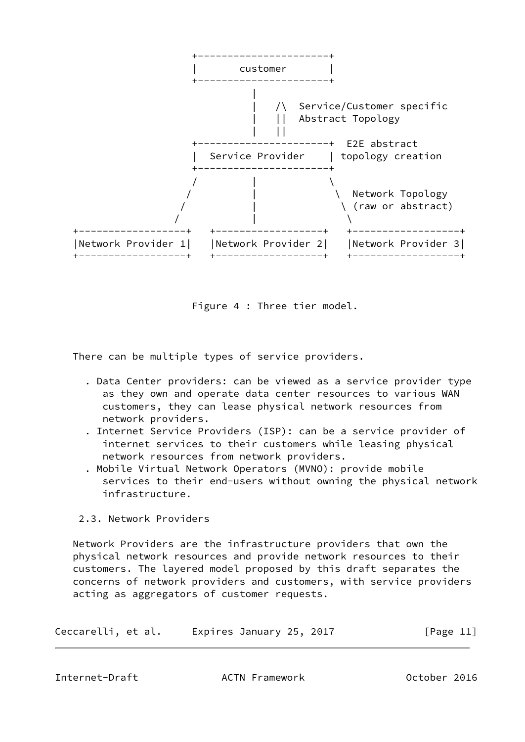

Figure 4 : Three tier model.

There can be multiple types of service providers.

- . Data Center providers: can be viewed as a service provider type as they own and operate data center resources to various WAN customers, they can lease physical network resources from network providers.
- . Internet Service Providers (ISP): can be a service provider of internet services to their customers while leasing physical network resources from network providers.
- . Mobile Virtual Network Operators (MVNO): provide mobile services to their end-users without owning the physical network infrastructure.

# 2.3. Network Providers

 Network Providers are the infrastructure providers that own the physical network resources and provide network resources to their customers. The layered model proposed by this draft separates the concerns of network providers and customers, with service providers acting as aggregators of customer requests.

| Ceccarelli, et al. | Expires January 25, 2017 | [Page 11] |
|--------------------|--------------------------|-----------|
|--------------------|--------------------------|-----------|

<span id="page-11-0"></span>Internet-Draft ACTN Framework October 2016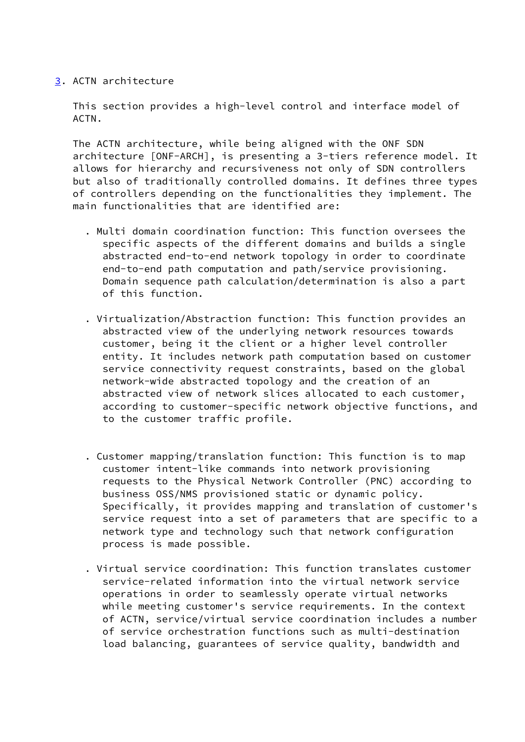# <span id="page-12-0"></span>[3](#page-12-0). ACTN architecture

 This section provides a high-level control and interface model of ACTN.

 The ACTN architecture, while being aligned with the ONF SDN architecture [ONF-ARCH], is presenting a 3-tiers reference model. It allows for hierarchy and recursiveness not only of SDN controllers but also of traditionally controlled domains. It defines three types of controllers depending on the functionalities they implement. The main functionalities that are identified are:

- . Multi domain coordination function: This function oversees the specific aspects of the different domains and builds a single abstracted end-to-end network topology in order to coordinate end-to-end path computation and path/service provisioning. Domain sequence path calculation/determination is also a part of this function.
- . Virtualization/Abstraction function: This function provides an abstracted view of the underlying network resources towards customer, being it the client or a higher level controller entity. It includes network path computation based on customer service connectivity request constraints, based on the global network-wide abstracted topology and the creation of an abstracted view of network slices allocated to each customer, according to customer-specific network objective functions, and to the customer traffic profile.
- . Customer mapping/translation function: This function is to map customer intent-like commands into network provisioning requests to the Physical Network Controller (PNC) according to business OSS/NMS provisioned static or dynamic policy. Specifically, it provides mapping and translation of customer's service request into a set of parameters that are specific to a network type and technology such that network configuration process is made possible.
- . Virtual service coordination: This function translates customer service-related information into the virtual network service operations in order to seamlessly operate virtual networks while meeting customer's service requirements. In the context of ACTN, service/virtual service coordination includes a number of service orchestration functions such as multi-destination load balancing, guarantees of service quality, bandwidth and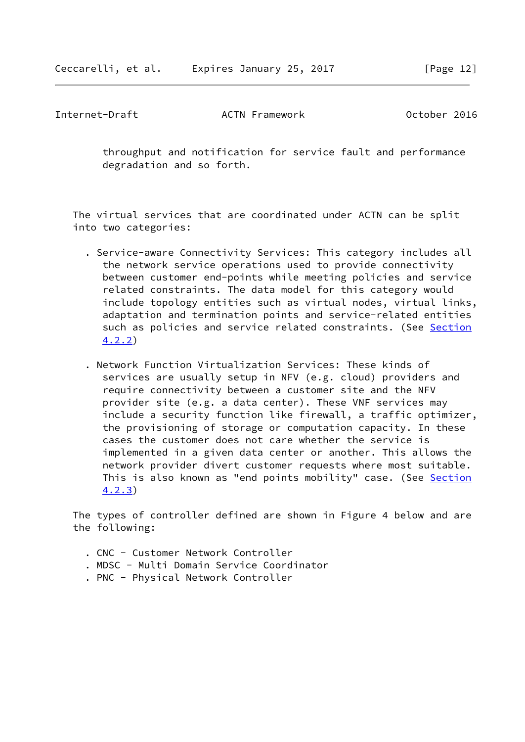Internet-Draft ACTN Framework October 2016

 throughput and notification for service fault and performance degradation and so forth.

 The virtual services that are coordinated under ACTN can be split into two categories:

- . Service-aware Connectivity Services: This category includes all the network service operations used to provide connectivity between customer end-points while meeting policies and service related constraints. The data model for this category would include topology entities such as virtual nodes, virtual links, adaptation and termination points and service-related entities such as policies and service related constraints. (See Section 4.2.2)
- . Network Function Virtualization Services: These kinds of services are usually setup in NFV (e.g. cloud) providers and require connectivity between a customer site and the NFV provider site (e.g. a data center). These VNF services may include a security function like firewall, a traffic optimizer, the provisioning of storage or computation capacity. In these cases the customer does not care whether the service is implemented in a given data center or another. This allows the network provider divert customer requests where most suitable. This is also known as "end points mobility" case. (See Section 4.2.3)

 The types of controller defined are shown in Figure 4 below and are the following:

- . CNC Customer Network Controller
- . MDSC Multi Domain Service Coordinator
- . PNC Physical Network Controller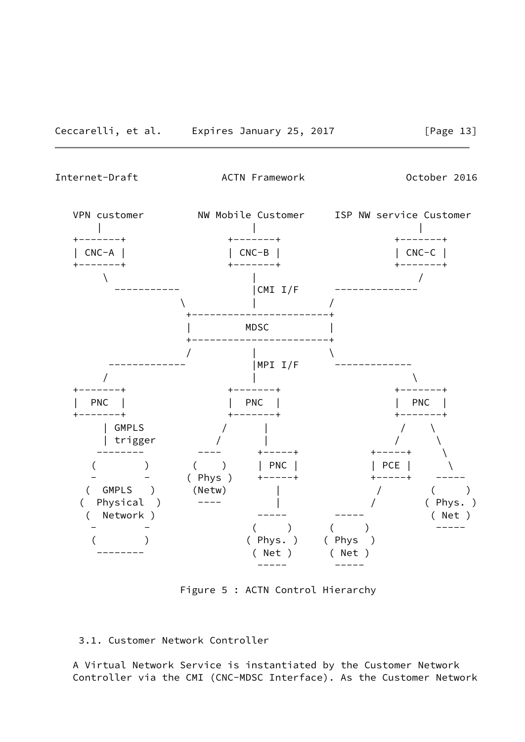<span id="page-14-0"></span>Internet-Draft ACTN Framework October 2016



Figure 5 : ACTN Control Hierarchy

## 3.1. Customer Network Controller

 A Virtual Network Service is instantiated by the Customer Network Controller via the CMI (CNC-MDSC Interface). As the Customer Network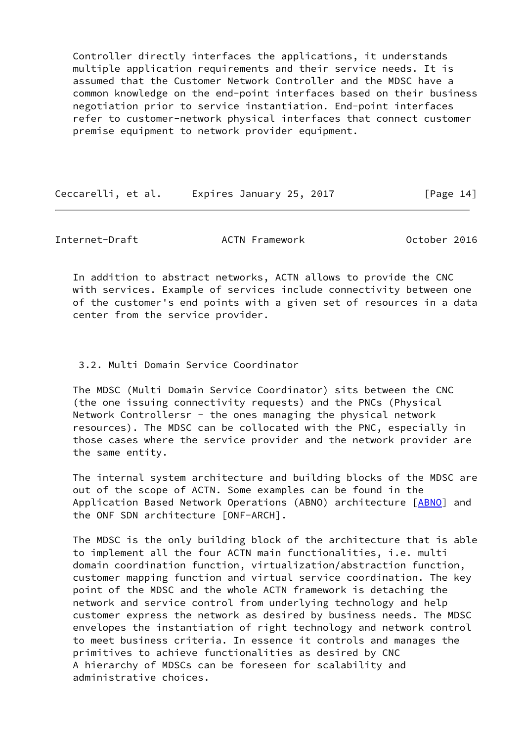Controller directly interfaces the applications, it understands multiple application requirements and their service needs. It is assumed that the Customer Network Controller and the MDSC have a common knowledge on the end-point interfaces based on their business negotiation prior to service instantiation. End-point interfaces refer to customer-network physical interfaces that connect customer premise equipment to network provider equipment.

Ceccarelli, et al. Expires January 25, 2017 [Page 14]

<span id="page-15-0"></span>Internet-Draft ACTN Framework October 2016

 In addition to abstract networks, ACTN allows to provide the CNC with services. Example of services include connectivity between one of the customer's end points with a given set of resources in a data center from the service provider.

## 3.2. Multi Domain Service Coordinator

 The MDSC (Multi Domain Service Coordinator) sits between the CNC (the one issuing connectivity requests) and the PNCs (Physical Network Controllersr - the ones managing the physical network resources). The MDSC can be collocated with the PNC, especially in those cases where the service provider and the network provider are the same entity.

 The internal system architecture and building blocks of the MDSC are out of the scope of ACTN. Some examples can be found in the Application Based Network Operations (ABNO) architecture [\[ABNO](#page-27-3)] and the ONF SDN architecture [ONF-ARCH].

 The MDSC is the only building block of the architecture that is able to implement all the four ACTN main functionalities, i.e. multi domain coordination function, virtualization/abstraction function, customer mapping function and virtual service coordination. The key point of the MDSC and the whole ACTN framework is detaching the network and service control from underlying technology and help customer express the network as desired by business needs. The MDSC envelopes the instantiation of right technology and network control to meet business criteria. In essence it controls and manages the primitives to achieve functionalities as desired by CNC A hierarchy of MDSCs can be foreseen for scalability and administrative choices.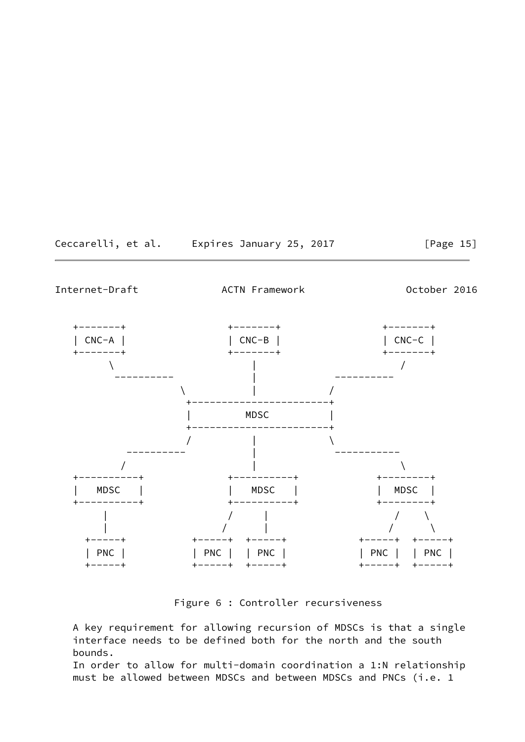Ceccarelli, et al. Expires January 25, 2017 [Page 15]

<span id="page-16-0"></span>Internet-Draft ACTN Framework October 2016



Figure 6 : Controller recursiveness

 A key requirement for allowing recursion of MDSCs is that a single interface needs to be defined both for the north and the south bounds.

 In order to allow for multi-domain coordination a 1:N relationship must be allowed between MDSCs and between MDSCs and PNCs (i.e. 1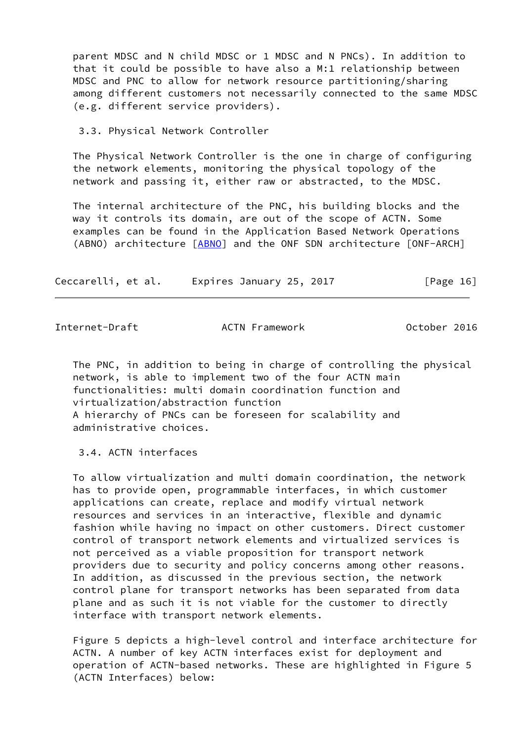parent MDSC and N child MDSC or 1 MDSC and N PNCs). In addition to that it could be possible to have also a M:1 relationship between MDSC and PNC to allow for network resource partitioning/sharing among different customers not necessarily connected to the same MDSC (e.g. different service providers).

3.3. Physical Network Controller

 The Physical Network Controller is the one in charge of configuring the network elements, monitoring the physical topology of the network and passing it, either raw or abstracted, to the MDSC.

 The internal architecture of the PNC, his building blocks and the way it controls its domain, are out of the scope of ACTN. Some examples can be found in the Application Based Network Operations (ABNO) architecture [\[ABNO](#page-27-3)] and the ONF SDN architecture [ONF-ARCH]

| Ceccarelli, et al. | Expires January 25, 2017 | [Page 16] |
|--------------------|--------------------------|-----------|
|--------------------|--------------------------|-----------|

<span id="page-17-0"></span>

Internet-Draft ACTN Framework October 2016

 The PNC, in addition to being in charge of controlling the physical network, is able to implement two of the four ACTN main functionalities: multi domain coordination function and virtualization/abstraction function A hierarchy of PNCs can be foreseen for scalability and administrative choices.

3.4. ACTN interfaces

 To allow virtualization and multi domain coordination, the network has to provide open, programmable interfaces, in which customer applications can create, replace and modify virtual network resources and services in an interactive, flexible and dynamic fashion while having no impact on other customers. Direct customer control of transport network elements and virtualized services is not perceived as a viable proposition for transport network providers due to security and policy concerns among other reasons. In addition, as discussed in the previous section, the network control plane for transport networks has been separated from data plane and as such it is not viable for the customer to directly interface with transport network elements.

 Figure 5 depicts a high-level control and interface architecture for ACTN. A number of key ACTN interfaces exist for deployment and operation of ACTN-based networks. These are highlighted in Figure 5 (ACTN Interfaces) below: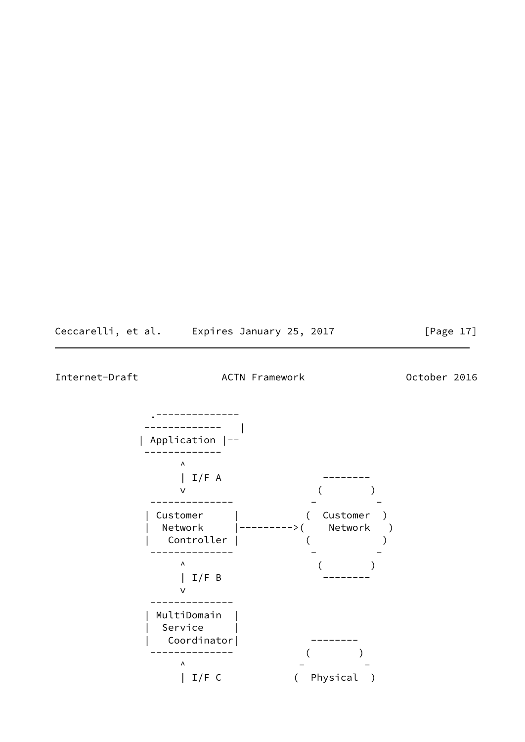Ceccarelli, et al. Expires January 25, 2017 [Page 17]

Internet-Draft ACTN Framework October 2016

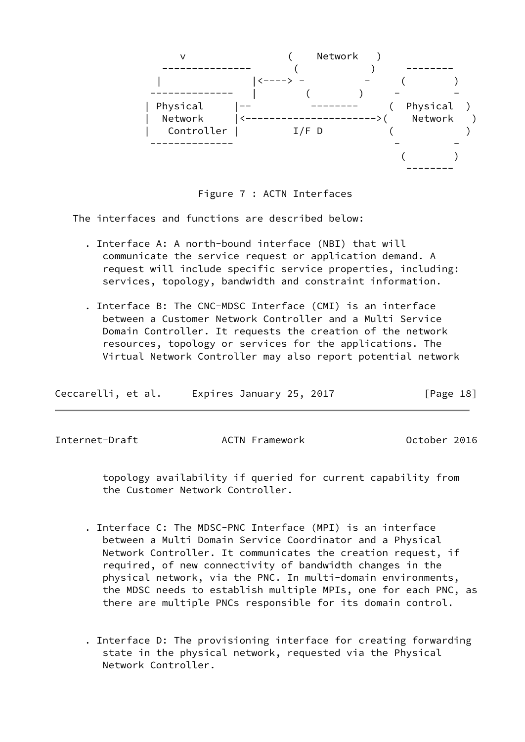

Figure 7 : ACTN Interfaces

The interfaces and functions are described below:

- . Interface A: A north-bound interface (NBI) that will communicate the service request or application demand. A request will include specific service properties, including: services, topology, bandwidth and constraint information.
- . Interface B: The CNC-MDSC Interface (CMI) is an interface between a Customer Network Controller and a Multi Service Domain Controller. It requests the creation of the network resources, topology or services for the applications. The Virtual Network Controller may also report potential network

| Ceccarelli, et al. | Expires January 25, 2017 | [Page 18] |
|--------------------|--------------------------|-----------|
|--------------------|--------------------------|-----------|

<span id="page-19-0"></span>Internet-Draft ACTN Framework October 2016

 topology availability if queried for current capability from the Customer Network Controller.

- . Interface C: The MDSC-PNC Interface (MPI) is an interface between a Multi Domain Service Coordinator and a Physical Network Controller. It communicates the creation request, if required, of new connectivity of bandwidth changes in the physical network, via the PNC. In multi-domain environments, the MDSC needs to establish multiple MPIs, one for each PNC, as there are multiple PNCs responsible for its domain control.
- . Interface D: The provisioning interface for creating forwarding state in the physical network, requested via the Physical Network Controller.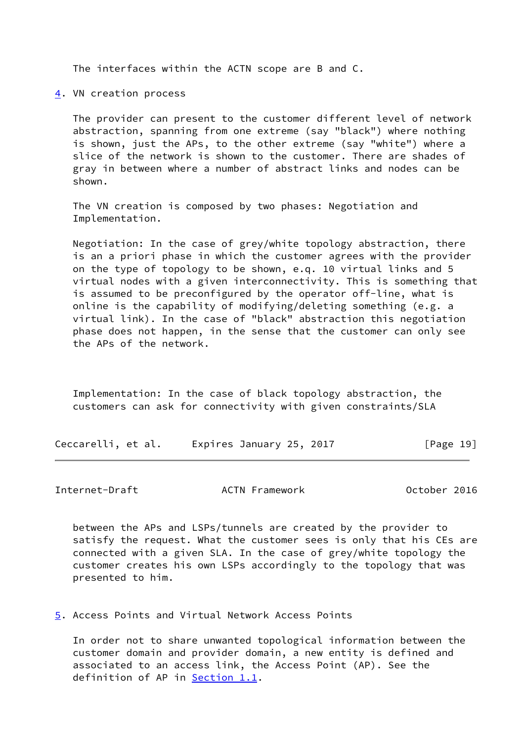The interfaces within the ACTN scope are B and C.

<span id="page-20-0"></span>[4](#page-20-0). VN creation process

 The provider can present to the customer different level of network abstraction, spanning from one extreme (say "black") where nothing is shown, just the APs, to the other extreme (say "white") where a slice of the network is shown to the customer. There are shades of gray in between where a number of abstract links and nodes can be shown.

 The VN creation is composed by two phases: Negotiation and Implementation.

 Negotiation: In the case of grey/white topology abstraction, there is an a priori phase in which the customer agrees with the provider on the type of topology to be shown, e.q. 10 virtual links and 5 virtual nodes with a given interconnectivity. This is something that is assumed to be preconfigured by the operator off-line, what is online is the capability of modifying/deleting something (e.g. a virtual link). In the case of "black" abstraction this negotiation phase does not happen, in the sense that the customer can only see the APs of the network.

 Implementation: In the case of black topology abstraction, the customers can ask for connectivity with given constraints/SLA

Ceccarelli, et al. Expires January 25, 2017 [Page 19]

<span id="page-20-2"></span>Internet-Draft ACTN Framework October 2016

 between the APs and LSPs/tunnels are created by the provider to satisfy the request. What the customer sees is only that his CEs are connected with a given SLA. In the case of grey/white topology the customer creates his own LSPs accordingly to the topology that was presented to him.

<span id="page-20-1"></span>[5](#page-20-1). Access Points and Virtual Network Access Points

 In order not to share unwanted topological information between the customer domain and provider domain, a new entity is defined and associated to an access link, the Access Point (AP). See the definition of AP in **Section 1.1**.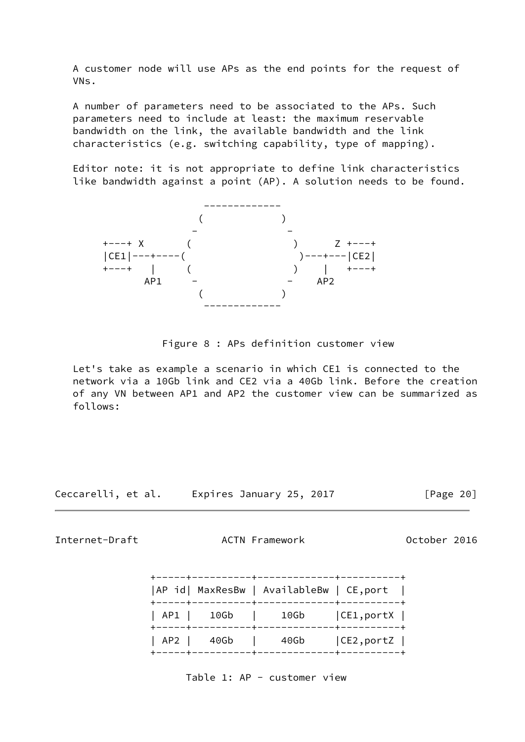A customer node will use APs as the end points for the request of VNs.

 A number of parameters need to be associated to the APs. Such parameters need to include at least: the maximum reservable bandwidth on the link, the available bandwidth and the link characteristics (e.g. switching capability, type of mapping).

 Editor note: it is not appropriate to define link characteristics like bandwidth against a point (AP). A solution needs to be found.



Figure 8 : APs definition customer view

 Let's take as example a scenario in which CE1 is connected to the network via a 10Gb link and CE2 via a 40Gb link. Before the creation of any VN between AP1 and AP2 the customer view can be summarized as follows:

Ceccarelli, et al. Expires January 25, 2017 [Page 20]

Internet-Draft ACTN Framework October 2016

|                | AP id  MaxResBw   AvailableBw   CE, port |              |
|----------------|------------------------------------------|--------------|
| -----+-------- | AP1   10Gb   10Gb   CE1, portX           | -+---------- |
|                | AP2   40Gb   40Gb                        | CE2, portZ   |

Table 1: AP - customer view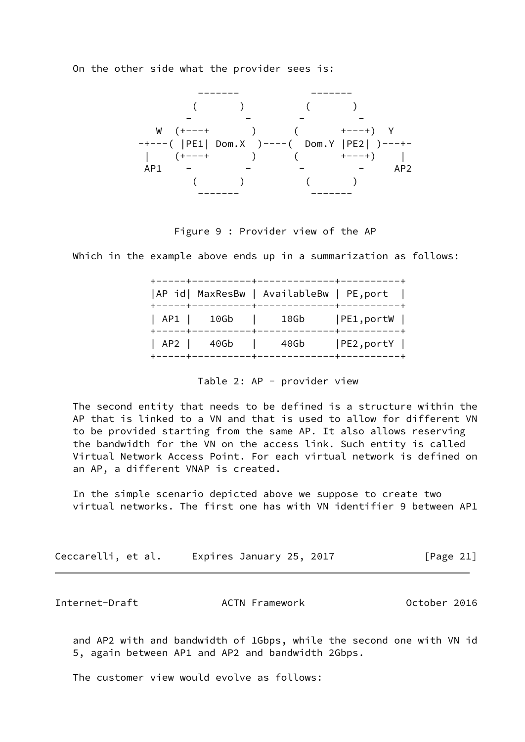On the other side what the provider sees is:



Figure 9 : Provider view of the AP

Which in the example above ends up in a summarization as follows:

|                 | AP id  MaxResBw   AvailableBw   PE, port |              |
|-----------------|------------------------------------------|--------------|
| +-----+-------- | AP1   10Gb   10Gb   PE1, portW           | -+---------- |
|                 | AP2   40Gb   40Gb   PE2, portY           |              |

### Table 2: AP - provider view

 The second entity that needs to be defined is a structure within the AP that is linked to a VN and that is used to allow for different VN to be provided starting from the same AP. It also allows reserving the bandwidth for the VN on the access link. Such entity is called Virtual Network Access Point. For each virtual network is defined on an AP, a different VNAP is created.

 In the simple scenario depicted above we suppose to create two virtual networks. The first one has with VN identifier 9 between AP1

| Ceccarelli, et al. | Expires January 25, 2017 | [Page 21] |
|--------------------|--------------------------|-----------|
|--------------------|--------------------------|-----------|

<span id="page-22-0"></span>Internet-Draft **ACTN Framework** October 2016

 and AP2 with and bandwidth of 1Gbps, while the second one with VN id 5, again between AP1 and AP2 and bandwidth 2Gbps.

The customer view would evolve as follows: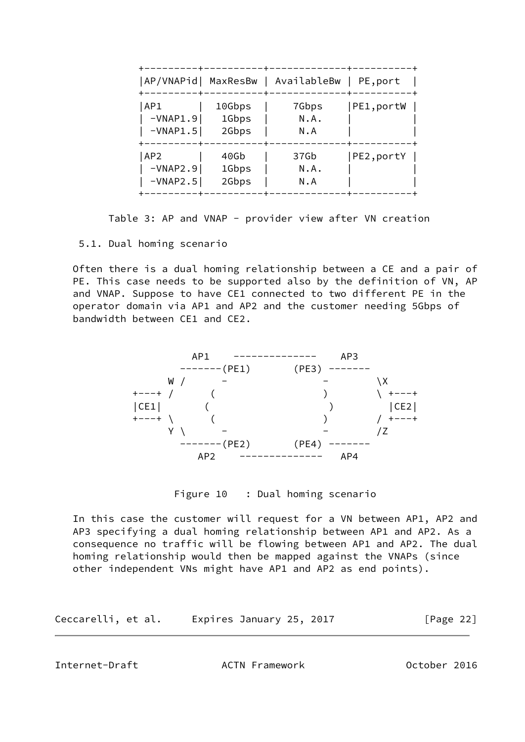| AP/VNAPid  MaxResBw |        | AvailableBw | PE, port  |
|---------------------|--------|-------------|-----------|
| AP1                 | 10Gbps | 7Gbps       | PE1,portW |
| $-VNAP1.9$          | 1Gbps  | N.A.        |           |
| $-VNAP1.5$          | 2Gbps  | N.A         |           |
| AP <sub>2</sub>     | 40Gb   | 37Gb        | PE2,portY |
| $-VNAP2.9$          | 1Gbps  | N.A.        |           |
| $-VNAP2.5$          | 2Gbps  | N.A         |           |

Table 3: AP and VNAP - provider view after VN creation

# 5.1. Dual homing scenario

 Often there is a dual homing relationship between a CE and a pair of PE. This case needs to be supported also by the definition of VN, AP and VNAP. Suppose to have CE1 connected to two different PE in the operator domain via AP1 and AP2 and the customer needing 5Gbps of bandwidth between CE1 and CE2.



Figure 10 : Dual homing scenario

 In this case the customer will request for a VN between AP1, AP2 and AP3 specifying a dual homing relationship between AP1 and AP2. As a consequence no traffic will be flowing between AP1 and AP2. The dual homing relationship would then be mapped against the VNAPs (since other independent VNs might have AP1 and AP2 as end points).

| Ceccarelli, et al. | Expires January 25, 2017 |  | [Page 22] |
|--------------------|--------------------------|--|-----------|
|--------------------|--------------------------|--|-----------|

<span id="page-23-0"></span>Internet-Draft ACTN Framework October 2016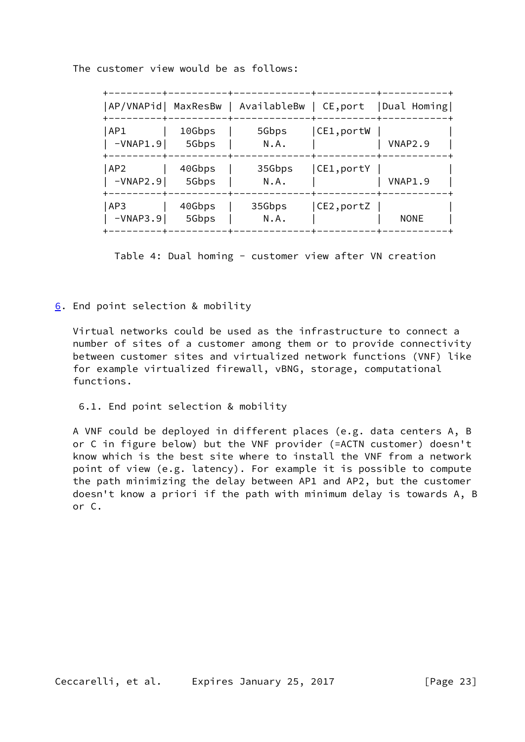The customer view would be as follows:

| AP/VNAPid  MaxResBw           |                 | AvailableBw    | $ $ CE, port | Dual Homing |
|-------------------------------|-----------------|----------------|--------------|-------------|
| AP1<br>$-VNAP1.9$             | 10Gbps<br>5Gbps | 5Gbps<br>N.A.  | CE1,portW    | VNAP2.9     |
| AP <sub>2</sub><br>$-VNAP2.9$ | 40Gbps<br>5Gbps | 35Gbps<br>N.A. | CE1,portY    | VNAP1.9     |
| AP3<br>$-VNAP3.9$             | 40Gbps<br>5Gbps | 35Gbps<br>N.A. | CE2,portZ    | <b>NONE</b> |

Table 4: Dual homing - customer view after VN creation

<span id="page-24-0"></span>[6](#page-24-0). End point selection & mobility

 Virtual networks could be used as the infrastructure to connect a number of sites of a customer among them or to provide connectivity between customer sites and virtualized network functions (VNF) like for example virtualized firewall, vBNG, storage, computational functions.

6.1. End point selection & mobility

 A VNF could be deployed in different places (e.g. data centers A, B or C in figure below) but the VNF provider (=ACTN customer) doesn't know which is the best site where to install the VNF from a network point of view (e.g. latency). For example it is possible to compute the path minimizing the delay between AP1 and AP2, but the customer doesn't know a priori if the path with minimum delay is towards A, B or C.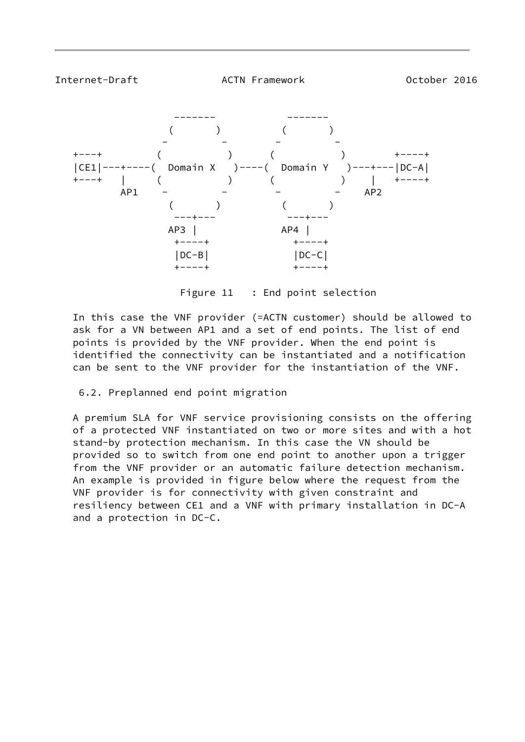<span id="page-25-0"></span>

Figure 11 : End point selection

 In this case the VNF provider (=ACTN customer) should be allowed to ask for a VN between AP1 and a set of end points. The list of end points is provided by the VNF provider. When the end point is identified the connectivity can be instantiated and a notification can be sent to the VNF provider for the instantiation of the VNF.

# 6.2. Preplanned end point migration

 A premium SLA for VNF service provisioning consists on the offering of a protected VNF instantiated on two or more sites and with a hot stand-by protection mechanism. In this case the VN should be provided so to switch from one end point to another upon a trigger from the VNF provider or an automatic failure detection mechanism. An example is provided in figure below where the request from the VNF provider is for connectivity with given constraint and resiliency between CE1 and a VNF with primary installation in DC-A and a protection in DC-C.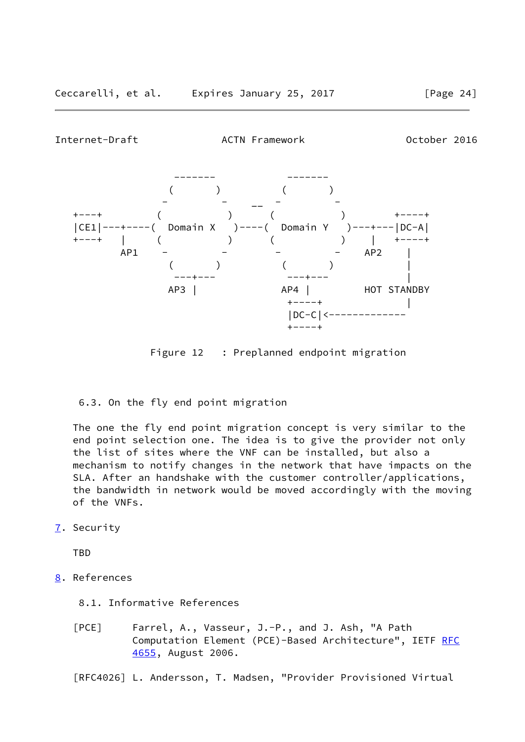<span id="page-26-0"></span>

Figure 12 : Preplanned endpoint migration

6.3. On the fly end point migration

 The one the fly end point migration concept is very similar to the end point selection one. The idea is to give the provider not only the list of sites where the VNF can be installed, but also a mechanism to notify changes in the network that have impacts on the SLA. After an handshake with the customer controller/applications, the bandwidth in network would be moved accordingly with the moving of the VNFs.

<span id="page-26-1"></span>[7](#page-26-1). Security

TBD

- <span id="page-26-2"></span>[8](#page-26-2). References
	- 8.1. Informative References
	- [PCE] Farrel, A., Vasseur, J.-P., and J. Ash, "A Path Computation Element (PCE)-Based Architecture", IETF [RFC](https://datatracker.ietf.org/doc/pdf/rfc4655) [4655](https://datatracker.ietf.org/doc/pdf/rfc4655), August 2006.

<span id="page-26-3"></span>[RFC4026] L. Andersson, T. Madsen, "Provider Provisioned Virtual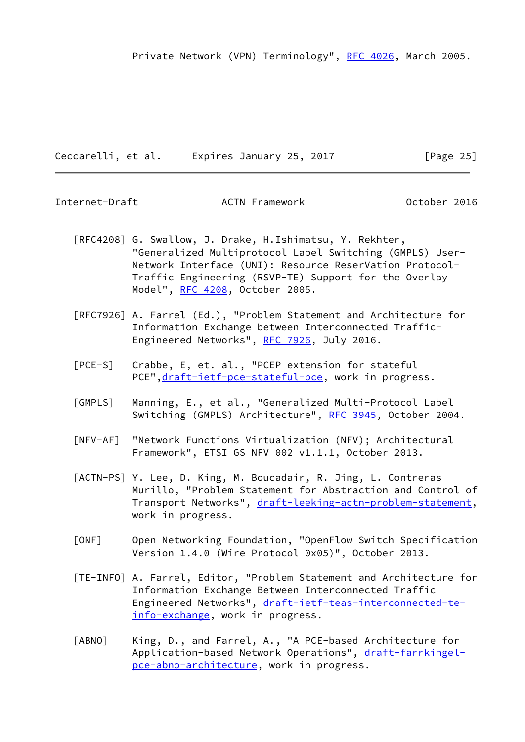Ceccarelli, et al. Expires January 25, 2017 [Page 25]

 [RFC4208] G. Swallow, J. Drake, H.Ishimatsu, Y. Rekhter, "Generalized Multiprotocol Label Switching (GMPLS) User- Network Interface (UNI): Resource ReserVation Protocol- Traffic Engineering (RSVP-TE) Support for the Overlay Model", [RFC 4208](https://datatracker.ietf.org/doc/pdf/rfc4208), October 2005.

Internet-Draft ACTN Framework October 2016

- [RFC7926] A. Farrel (Ed.), "Problem Statement and Architecture for Information Exchange between Interconnected Traffic- Engineered Networks", [RFC 7926](https://datatracker.ietf.org/doc/pdf/rfc7926), July 2016.
- [PCE-S] Crabbe, E, et. al., "PCEP extension for stateful PCE", [draft-ietf-pce-stateful-pce](https://datatracker.ietf.org/doc/pdf/draft-ietf-pce-stateful-pce), work in progress.
- <span id="page-27-0"></span> [GMPLS] Manning, E., et al., "Generalized Multi-Protocol Label Switching (GMPLS) Architecture", [RFC 3945,](https://datatracker.ietf.org/doc/pdf/rfc3945) October 2004.
- [NFV-AF] "Network Functions Virtualization (NFV); Architectural Framework", ETSI GS NFV 002 v1.1.1, October 2013.
- <span id="page-27-2"></span> [ACTN-PS] Y. Lee, D. King, M. Boucadair, R. Jing, L. Contreras Murillo, "Problem Statement for Abstraction and Control of Transport Networks", [draft-leeking-actn-problem-statement,](https://datatracker.ietf.org/doc/pdf/draft-leeking-actn-problem-statement) work in progress.
- [ONF] Open Networking Foundation, "OpenFlow Switch Specification Version 1.4.0 (Wire Protocol 0x05)", October 2013.
- <span id="page-27-1"></span> [TE-INFO] A. Farrel, Editor, "Problem Statement and Architecture for Information Exchange Between Interconnected Traffic Engineered Networks", [draft-ietf-teas-interconnected-te](https://datatracker.ietf.org/doc/pdf/draft-ietf-teas-interconnected-te-info-exchange) [info-exchange,](https://datatracker.ietf.org/doc/pdf/draft-ietf-teas-interconnected-te-info-exchange) work in progress.
- <span id="page-27-3"></span> [ABNO] King, D., and Farrel, A., "A PCE-based Architecture for Application-based Network Operations", [draft-farrkingel](https://datatracker.ietf.org/doc/pdf/draft-farrkingel-pce-abno-architecture) [pce-abno-architecture,](https://datatracker.ietf.org/doc/pdf/draft-farrkingel-pce-abno-architecture) work in progress.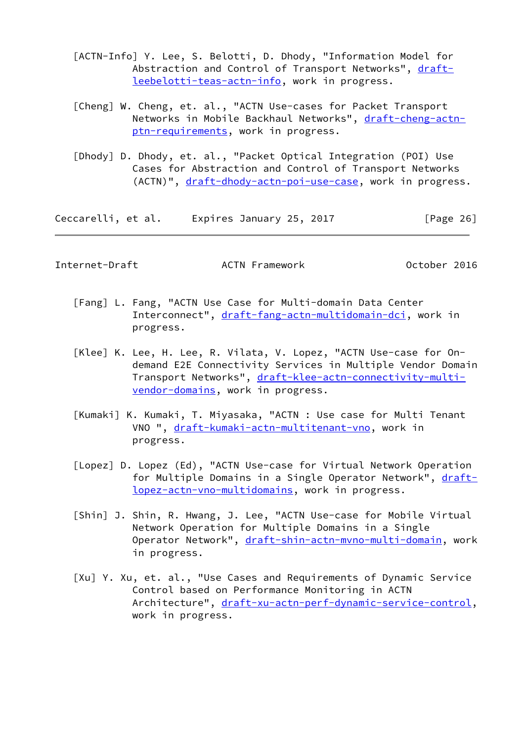- [ACTN-Info] Y. Lee, S. Belotti, D. Dhody, "Information Model for Abstraction and Control of Transport Networks", [draft](https://datatracker.ietf.org/doc/pdf/draft-leebelotti-teas-actn-info) [leebelotti-teas-actn-info,](https://datatracker.ietf.org/doc/pdf/draft-leebelotti-teas-actn-info) work in progress.
- [Cheng] W. Cheng, et. al., "ACTN Use-cases for Packet Transport Networks in Mobile Backhaul Networks", [draft-cheng-actn](https://datatracker.ietf.org/doc/pdf/draft-cheng-actn-ptn-requirements) [ptn-requirements](https://datatracker.ietf.org/doc/pdf/draft-cheng-actn-ptn-requirements), work in progress.
- [Dhody] D. Dhody, et. al., "Packet Optical Integration (POI) Use Cases for Abstraction and Control of Transport Networks (ACTN)", [draft-dhody-actn-poi-use-case,](https://datatracker.ietf.org/doc/pdf/draft-dhody-actn-poi-use-case) work in progress.

Ceccarelli, et al. Expires January 25, 2017 [Page 26]

Internet-Draft ACTN Framework October 2016

- [Fang] L. Fang, "ACTN Use Case for Multi-domain Data Center Interconnect", [draft-fang-actn-multidomain-dci](https://datatracker.ietf.org/doc/pdf/draft-fang-actn-multidomain-dci), work in progress.
- [Klee] K. Lee, H. Lee, R. Vilata, V. Lopez, "ACTN Use-case for On demand E2E Connectivity Services in Multiple Vendor Domain Transport Networks", [draft-klee-actn-connectivity-multi](https://datatracker.ietf.org/doc/pdf/draft-klee-actn-connectivity-multi-vendor-domains) [vendor-domains](https://datatracker.ietf.org/doc/pdf/draft-klee-actn-connectivity-multi-vendor-domains), work in progress.
- [Kumaki] K. Kumaki, T. Miyasaka, "ACTN : Use case for Multi Tenant VNO ", [draft-kumaki-actn-multitenant-vno](https://datatracker.ietf.org/doc/pdf/draft-kumaki-actn-multitenant-vno), work in progress.
- [Lopez] D. Lopez (Ed), "ACTN Use-case for Virtual Network Operation for Multiple Domains in a Single Operator Network", [draft](https://datatracker.ietf.org/doc/pdf/draft-lopez-actn-vno-multidomains) [lopez-actn-vno-multidomains](https://datatracker.ietf.org/doc/pdf/draft-lopez-actn-vno-multidomains), work in progress.
- [Shin] J. Shin, R. Hwang, J. Lee, "ACTN Use-case for Mobile Virtual Network Operation for Multiple Domains in a Single Operator Network", draft-shin-actn-myno-multi-domain, work in progress.
- [Xu] Y. Xu, et. al., "Use Cases and Requirements of Dynamic Service Control based on Performance Monitoring in ACTN Architecture", [draft-xu-actn-perf-dynamic-service-control,](https://datatracker.ietf.org/doc/pdf/draft-xu-actn-perf-dynamic-service-control) work in progress.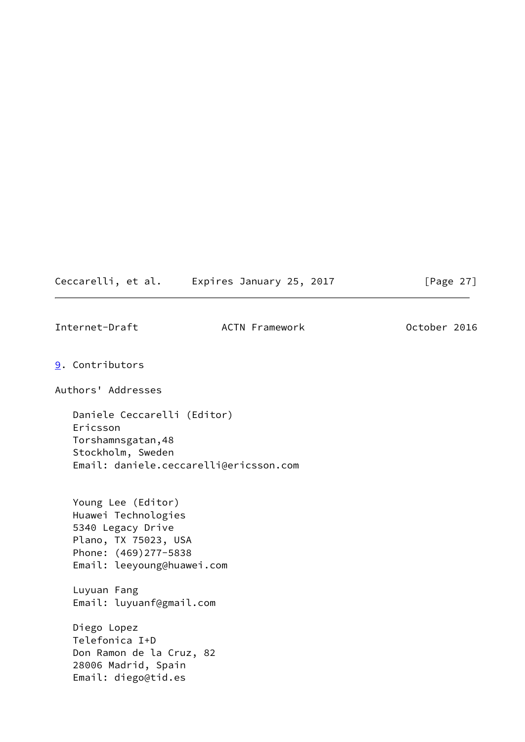| Ceccarelli, et al. | Expires January 25, 2017 |  |  |
|--------------------|--------------------------|--|--|
|--------------------|--------------------------|--|--|

17 [Page 27]

<span id="page-29-1"></span><span id="page-29-0"></span>

| Internet-Draft  |                                                                                                                                              | <b>ACTN Framework</b> | October 2016 |  |
|-----------------|----------------------------------------------------------------------------------------------------------------------------------------------|-----------------------|--------------|--|
| 9. Contributors |                                                                                                                                              |                       |              |  |
|                 | Authors' Addresses                                                                                                                           |                       |              |  |
| Ericsson        | Daniele Ceccarelli (Editor)<br>Torshamnsgatan, 48<br>Stockholm, Sweden<br>Email: daniele.ceccarelli@ericsson.com                             |                       |              |  |
|                 | Young Lee (Editor)<br>Huawei Technologies<br>5340 Legacy Drive<br>Plano, TX 75023, USA<br>Phone: (469)277-5838<br>Email: leeyoung@huawei.com |                       |              |  |
|                 | Luyuan Fang<br>Email: luyuanf@gmail.com                                                                                                      |                       |              |  |
|                 | Diego Lopez<br>Telefonica I+D<br>Don Ramon de la Cruz, 82<br>28006 Madrid, Spain<br>Email: diego@tid.es                                      |                       |              |  |